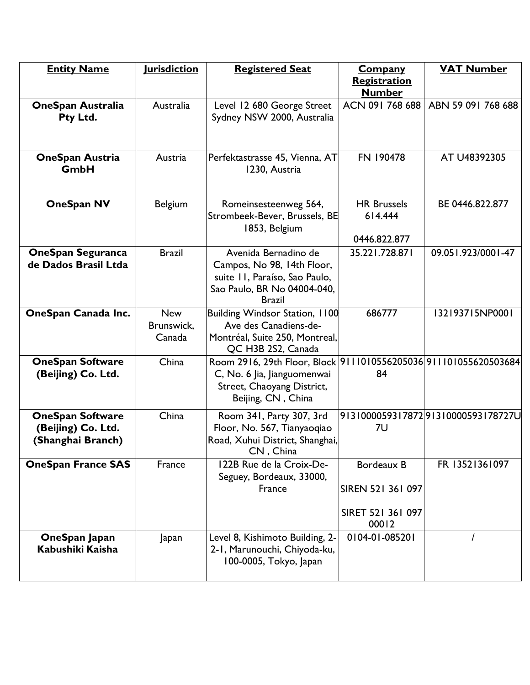| <b>Entity Name</b>                                                 | <u>Iurisdiction</u>                | <b>Registered Seat</b>                                                                                                                              | <b>Company</b>                                                | <b>VAT Number</b>                  |
|--------------------------------------------------------------------|------------------------------------|-----------------------------------------------------------------------------------------------------------------------------------------------------|---------------------------------------------------------------|------------------------------------|
|                                                                    |                                    |                                                                                                                                                     | Registration                                                  |                                    |
|                                                                    |                                    |                                                                                                                                                     | <b>Number</b>                                                 |                                    |
| <b>OneSpan Australia</b><br>Pty Ltd.                               | Australia                          | Level 12 680 George Street<br>Sydney NSW 2000, Australia                                                                                            | ACN 091 768 688                                               | ABN 59 091 768 688                 |
| <b>OneSpan Austria</b><br>GmbH                                     | Austria                            | Perfektastrasse 45, Vienna, AT<br>1230, Austria                                                                                                     | FN 190478                                                     | AT U48392305                       |
| <b>OneSpan NV</b>                                                  | <b>Belgium</b>                     | Romeinsesteenweg 564,<br>Strombeek-Bever, Brussels, BE<br>1853, Belgium                                                                             | <b>HR Brussels</b><br>614.444<br>0446.822.877                 | BE 0446.822.877                    |
| <b>OneSpan Seguranca</b><br>de Dados Brasil Ltda                   | <b>Brazil</b>                      | Avenida Bernadino de<br>Campos, No 98, 14th Floor,<br>suite II, Paraíso, Sao Paulo,<br>Sao Paulo, BR No 04004-040,<br><b>Brazil</b>                 | 35.221.728.871                                                | 09.051.923/0001-47                 |
| OneSpan Canada Inc.                                                | <b>New</b><br>Brunswick,<br>Canada | Building Windsor Station, 1100<br>Ave des Canadiens-de-<br>Montréal, Suite 250, Montreal,<br>QC H3B 2S2, Canada                                     | 686777                                                        | 132193715NP0001                    |
| <b>OneSpan Software</b><br>(Beijing) Co. Ltd.                      | China                              | Room 2916, 29th Floor, Block 9111010556205036 911101055620503684<br>C, No. 6 Jia, Jianguomenwai<br>Street, Chaoyang District,<br>Beijing, CN, China | 84                                                            |                                    |
| <b>OneSpan Software</b><br>(Beijing) Co. Ltd.<br>(Shanghai Branch) | China                              | Room 341, Party 307, 3rd<br>Floor, No. 567, Tianyaoqiao<br>Road, Xuhui District, Shanghai,<br>CN, China                                             | 7U                                                            | 913100005931787291310000593178727U |
| <b>OneSpan France SAS</b>                                          | France                             | 122B Rue de la Croix-De-<br>Seguey, Bordeaux, 33000,<br>France                                                                                      | Bordeaux B<br>SIREN 521 361 097<br>SIRET 521 361 097<br>00012 | FR 13521361097                     |
| OneSpan Japan<br>Kabushiki Kaisha                                  | Japan                              | Level 8, Kishimoto Building, 2-<br>2-1, Marunouchi, Chiyoda-ku,<br>100-0005, Tokyo, Japan                                                           | 0104-01-085201                                                |                                    |